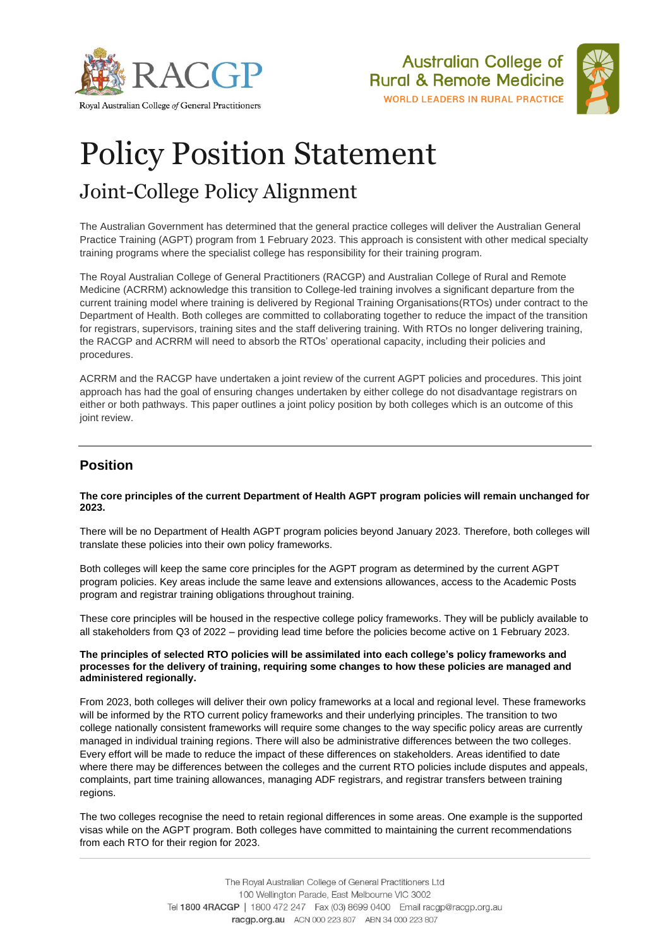



# Policy Position Statement Joint-College Policy Alignment

The Australian Government has determined that the general practice colleges will deliver the Australian General Practice Training (AGPT) program from 1 February 2023. This approach is consistent with other medical specialty training programs where the specialist college has responsibility for their training program.

The Royal Australian College of General Practitioners (RACGP) and Australian College of Rural and Remote Medicine (ACRRM) acknowledge this transition to College-led training involves a significant departure from the current training model where training is delivered by Regional Training Organisations(RTOs) under contract to the Department of Health. Both colleges are committed to collaborating together to reduce the impact of the transition for registrars, supervisors, training sites and the staff delivering training. With RTOs no longer delivering training, the RACGP and ACRRM will need to absorb the RTOs' operational capacity, including their policies and procedures.

ACRRM and the RACGP have undertaken a joint review of the current AGPT policies and procedures. This joint approach has had the goal of ensuring changes undertaken by either college do not disadvantage registrars on either or both pathways. This paper outlines a joint policy position by both colleges which is an outcome of this joint review.

# **Position**

## **The core principles of the current Department of Health AGPT program policies will remain unchanged for 2023.**

There will be no Department of Health AGPT program policies beyond January 2023. Therefore, both colleges will translate these policies into their own policy frameworks.

Both colleges will keep the same core principles for the AGPT program as determined by the current AGPT program policies. Key areas include the same leave and extensions allowances, access to the Academic Posts program and registrar training obligations throughout training.

These core principles will be housed in the respective college policy frameworks. They will be publicly available to all stakeholders from Q3 of 2022 – providing lead time before the policies become active on 1 February 2023.

### **The principles of selected RTO policies will be assimilated into each college's policy frameworks and processes for the delivery of training, requiring some changes to how these policies are managed and administered regionally.**

From 2023, both colleges will deliver their own policy frameworks at a local and regional level. These frameworks will be informed by the RTO current policy frameworks and their underlying principles. The transition to two college nationally consistent frameworks will require some changes to the way specific policy areas are currently managed in individual training regions. There will also be administrative differences between the two colleges. Every effort will be made to reduce the impact of these differences on stakeholders. Areas identified to date where there may be differences between the colleges and the current RTO policies include disputes and appeals, complaints, part time training allowances, managing ADF registrars, and registrar transfers between training regions.

The two colleges recognise the need to retain regional differences in some areas. One example is the supported visas while on the AGPT program. Both colleges have committed to maintaining the current recommendations from each RTO for their region for 2023.